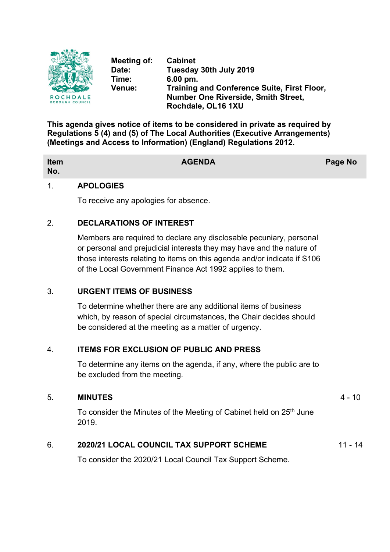

**Meeting of: Cabinet Date: Tuesday 30th July 2019 Time: 6.00 pm. Venue: Training and Conference Suite, First Floor, Number One Riverside, Smith Street, Rochdale, OL16 1XU**

**This agenda gives notice of items to be considered in private as required by Regulations 5 (4) and (5) of The Local Authorities (Executive Arrangements) (Meetings and Access to Information) (England) Regulations 2012.**

| Item<br>No. | <b>AGENDA</b> | Page No |
|-------------|---------------|---------|
|             |               |         |

## 1. **APOLOGIES**

To receive any apologies for absence.

# 2. **DECLARATIONS OF INTEREST**

Members are required to declare any disclosable pecuniary, personal or personal and prejudicial interests they may have and the nature of those interests relating to items on this agenda and/or indicate if S106 of the Local Government Finance Act 1992 applies to them.

# 3. **URGENT ITEMS OF BUSINESS**

To determine whether there are any additional items of business which, by reason of special circumstances, the Chair decides should be considered at the meeting as a matter of urgency.

# 4. **ITEMS FOR EXCLUSION OF PUBLIC AND PRESS**

To determine any items on the agenda, if any, where the public are to be excluded from the meeting.

### 5. **MINUTES** 4 - 10

To consider the Minutes of the Meeting of Cabinet held on 25<sup>th</sup> June 2019.

# 6. **2020/21 LOCAL COUNCIL TAX SUPPORT SCHEME** 11 - 14

To consider the 2020/21 Local Council Tax Support Scheme.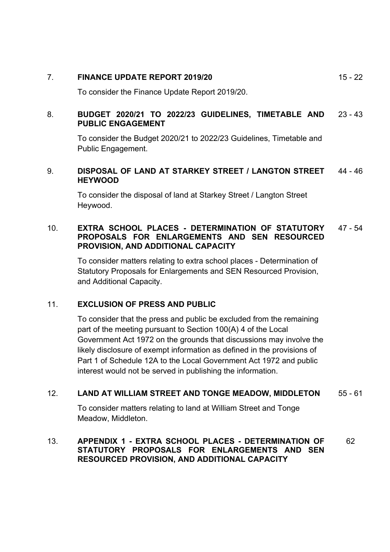## 7. **FINANCE UPDATE REPORT 2019/20** 15 - 22

To consider the Finance Update Report 2019/20.

#### 8. **BUDGET 2020/21 TO 2022/23 GUIDELINES, TIMETABLE AND PUBLIC ENGAGEMENT** 23 - 43

To consider the Budget 2020/21 to 2022/23 Guidelines, Timetable and Public Engagement.

#### 9. **DISPOSAL OF LAND AT STARKEY STREET / LANGTON STREET HEYWOOD** 44 - 46

To consider the disposal of land at Starkey Street / Langton Street Heywood.

### 10. **EXTRA SCHOOL PLACES - DETERMINATION OF STATUTORY PROPOSALS FOR ENLARGEMENTS AND SEN RESOURCED PROVISION, AND ADDITIONAL CAPACITY** 47 - 54

To consider matters relating to extra school places - Determination of Statutory Proposals for Enlargements and SEN Resourced Provision, and Additional Capacity.

# 11. **EXCLUSION OF PRESS AND PUBLIC**

To consider that the press and public be excluded from the remaining part of the meeting pursuant to Section 100(A) 4 of the Local Government Act 1972 on the grounds that discussions may involve the likely disclosure of exempt information as defined in the provisions of Part 1 of Schedule 12A to the Local Government Act 1972 and public interest would not be served in publishing the information.

# 12. **LAND AT WILLIAM STREET AND TONGE MEADOW, MIDDLETON** 55 - 61

To consider matters relating to land at William Street and Tonge Meadow, Middleton.

### 13. **APPENDIX 1 - EXTRA SCHOOL PLACES - DETERMINATION OF STATUTORY PROPOSALS FOR ENLARGEMENTS AND SEN RESOURCED PROVISION, AND ADDITIONAL CAPACITY** 62